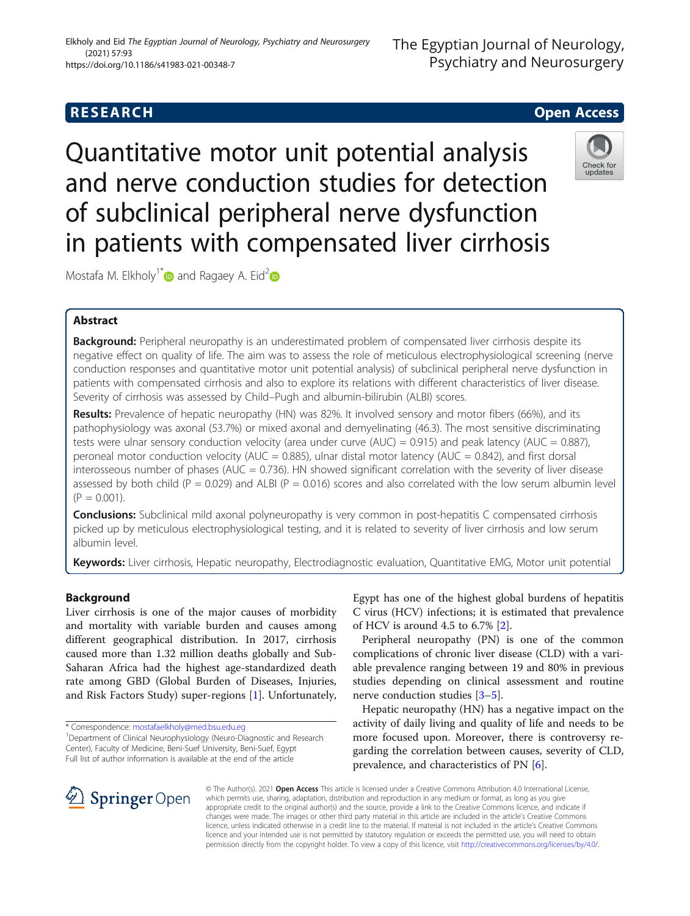# **RESEARCH CHE Open Access**

Check for undate

Quantitative motor unit potential analysis and nerve conduction studies for detection of subclinical peripheral nerve dysfunction in patients with compensated liver cirrhosis

Mostafa M. Elkholy<sup>1[\\*](https://orcid.org/0000-0002-4954-5883)</sup> and Ragaey A. Eid<sup>2</sup>

## Abstract

**Background:** Peripheral neuropathy is an underestimated problem of compensated liver cirrhosis despite its negative effect on quality of life. The aim was to assess the role of meticulous electrophysiological screening (nerve conduction responses and quantitative motor unit potential analysis) of subclinical peripheral nerve dysfunction in patients with compensated cirrhosis and also to explore its relations with different characteristics of liver disease. Severity of cirrhosis was assessed by Child–Pugh and albumin-bilirubin (ALBI) scores.

Results: Prevalence of hepatic neuropathy (HN) was 82%. It involved sensory and motor fibers (66%), and its pathophysiology was axonal (53.7%) or mixed axonal and demyelinating (46.3). The most sensitive discriminating tests were ulnar sensory conduction velocity (area under curve (AUC) = 0.915) and peak latency (AUC = 0.887), peroneal motor conduction velocity (AUC = 0.885), ulnar distal motor latency (AUC = 0.842), and first dorsal interosseous number of phases ( $AUC = 0.736$ ). HN showed significant correlation with the severity of liver disease assessed by both child ( $P = 0.029$ ) and ALBI ( $P = 0.016$ ) scores and also correlated with the low serum albumin level  $(P = 0.001)$ .

**Conclusions:** Subclinical mild axonal polyneuropathy is very common in post-hepatitis C compensated cirrhosis picked up by meticulous electrophysiological testing, and it is related to severity of liver cirrhosis and low serum albumin level.

Keywords: Liver cirrhosis, Hepatic neuropathy, Electrodiagnostic evaluation, Quantitative EMG, Motor unit potential

## Background

Liver cirrhosis is one of the major causes of morbidity and mortality with variable burden and causes among different geographical distribution. In 2017, cirrhosis caused more than 1.32 million deaths globally and Sub-Saharan Africa had the highest age-standardized death rate among GBD (Global Burden of Diseases, Injuries, and Risk Factors Study) super-regions [\[1](#page-9-0)]. Unfortunately,

\* Correspondence: [mostafaelkholy@med.bsu.edu.eg](mailto:mostafaelkholy@med.bsu.edu.eg) <sup>1</sup>

<sup>1</sup>Department of Clinical Neurophysiology (Neuro-Diagnostic and Research Center), Faculty of Medicine, Beni-Suef University, Beni-Suef, Egypt Full list of author information is available at the end of the article

Egypt has one of the highest global burdens of hepatitis C virus (HCV) infections; it is estimated that prevalence of HCV is around 4.5 to 6.7% [[2\]](#page-9-0).

Peripheral neuropathy (PN) is one of the common complications of chronic liver disease (CLD) with a variable prevalence ranging between 19 and 80% in previous studies depending on clinical assessment and routine nerve conduction studies [\[3](#page-9-0)–[5](#page-9-0)].

Hepatic neuropathy (HN) has a negative impact on the activity of daily living and quality of life and needs to be more focused upon. Moreover, there is controversy regarding the correlation between causes, severity of CLD, prevalence, and characteristics of PN [\[6](#page-9-0)].



© The Author(s). 2021 Open Access This article is licensed under a Creative Commons Attribution 4.0 International License, which permits use, sharing, adaptation, distribution and reproduction in any medium or format, as long as you give appropriate credit to the original author(s) and the source, provide a link to the Creative Commons licence, and indicate if changes were made. The images or other third party material in this article are included in the article's Creative Commons licence, unless indicated otherwise in a credit line to the material. If material is not included in the article's Creative Commons licence and your intended use is not permitted by statutory regulation or exceeds the permitted use, you will need to obtain permission directly from the copyright holder. To view a copy of this licence, visit <http://creativecommons.org/licenses/by/4.0/>.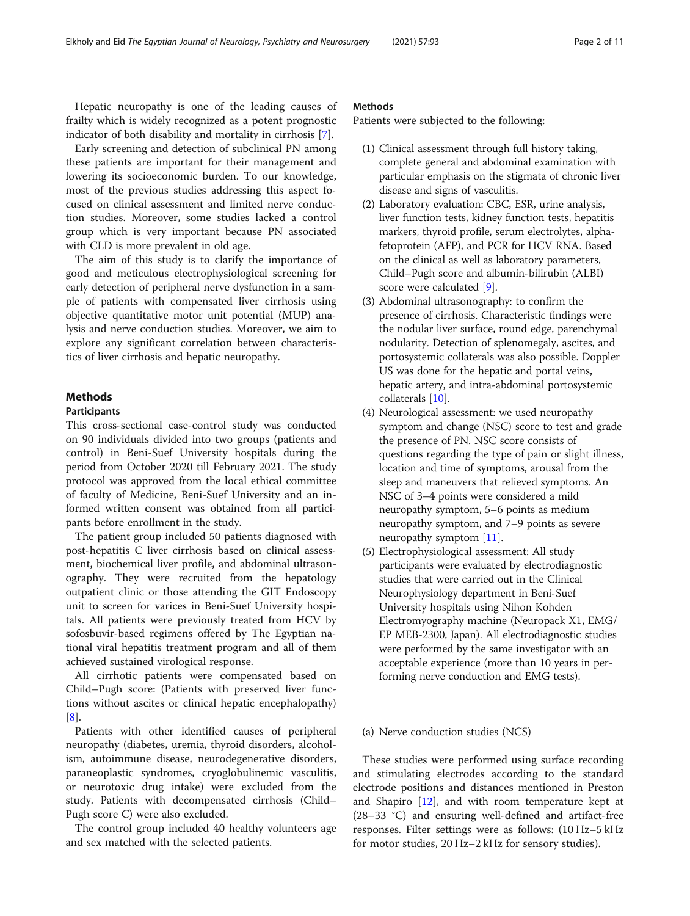Hepatic neuropathy is one of the leading causes of frailty which is widely recognized as a potent prognostic indicator of both disability and mortality in cirrhosis [[7\]](#page-9-0).

Early screening and detection of subclinical PN among these patients are important for their management and lowering its socioeconomic burden. To our knowledge, most of the previous studies addressing this aspect focused on clinical assessment and limited nerve conduction studies. Moreover, some studies lacked a control group which is very important because PN associated with CLD is more prevalent in old age.

The aim of this study is to clarify the importance of good and meticulous electrophysiological screening for early detection of peripheral nerve dysfunction in a sample of patients with compensated liver cirrhosis using objective quantitative motor unit potential (MUP) analysis and nerve conduction studies. Moreover, we aim to explore any significant correlation between characteristics of liver cirrhosis and hepatic neuropathy.

## **Methods**

## Participants

This cross-sectional case-control study was conducted on 90 individuals divided into two groups (patients and control) in Beni-Suef University hospitals during the period from October 2020 till February 2021. The study protocol was approved from the local ethical committee of faculty of Medicine, Beni-Suef University and an informed written consent was obtained from all participants before enrollment in the study.

The patient group included 50 patients diagnosed with post-hepatitis C liver cirrhosis based on clinical assessment, biochemical liver profile, and abdominal ultrasonography. They were recruited from the hepatology outpatient clinic or those attending the GIT Endoscopy unit to screen for varices in Beni-Suef University hospitals. All patients were previously treated from HCV by sofosbuvir-based regimens offered by The Egyptian national viral hepatitis treatment program and all of them achieved sustained virological response.

All cirrhotic patients were compensated based on Child–Pugh score: (Patients with preserved liver functions without ascites or clinical hepatic encephalopathy) [[8\]](#page-9-0).

Patients with other identified causes of peripheral neuropathy (diabetes, uremia, thyroid disorders, alcoholism, autoimmune disease, neurodegenerative disorders, paraneoplastic syndromes, cryoglobulinemic vasculitis, or neurotoxic drug intake) were excluded from the study. Patients with decompensated cirrhosis (Child– Pugh score C) were also excluded.

The control group included 40 healthy volunteers age and sex matched with the selected patients.

## Methods

Patients were subjected to the following:

- (1) Clinical assessment through full history taking, complete general and abdominal examination with particular emphasis on the stigmata of chronic liver disease and signs of vasculitis.
- (2) Laboratory evaluation: CBC, ESR, urine analysis, liver function tests, kidney function tests, hepatitis markers, thyroid profile, serum electrolytes, alphafetoprotein (AFP), and PCR for HCV RNA. Based on the clinical as well as laboratory parameters, Child–Pugh score and albumin-bilirubin (ALBI) score were calculated [[9](#page-9-0)].
- (3) Abdominal ultrasonography: to confirm the presence of cirrhosis. Characteristic findings were the nodular liver surface, round edge, parenchymal nodularity. Detection of splenomegaly, ascites, and portosystemic collaterals was also possible. Doppler US was done for the hepatic and portal veins, hepatic artery, and intra-abdominal portosystemic collaterals [[10](#page-9-0)].
- (4) Neurological assessment: we used neuropathy symptom and change (NSC) score to test and grade the presence of PN. NSC score consists of questions regarding the type of pain or slight illness, location and time of symptoms, arousal from the sleep and maneuvers that relieved symptoms. An NSC of 3–4 points were considered a mild neuropathy symptom, 5–6 points as medium neuropathy symptom, and 7–9 points as severe neuropathy symptom [[11](#page-9-0)].
- (5) Electrophysiological assessment: All study participants were evaluated by electrodiagnostic studies that were carried out in the Clinical Neurophysiology department in Beni-Suef University hospitals using Nihon Kohden Electromyography machine (Neuropack X1, EMG/ EP MEB-2300, Japan). All electrodiagnostic studies were performed by the same investigator with an acceptable experience (more than 10 years in performing nerve conduction and EMG tests).

## (a) Nerve conduction studies (NCS)

These studies were performed using surface recording and stimulating electrodes according to the standard electrode positions and distances mentioned in Preston and Shapiro [[12\]](#page-9-0), and with room temperature kept at (28–33 °C) and ensuring well-defined and artifact-free responses. Filter settings were as follows: (10 Hz–5 kHz for motor studies, 20 Hz–2 kHz for sensory studies).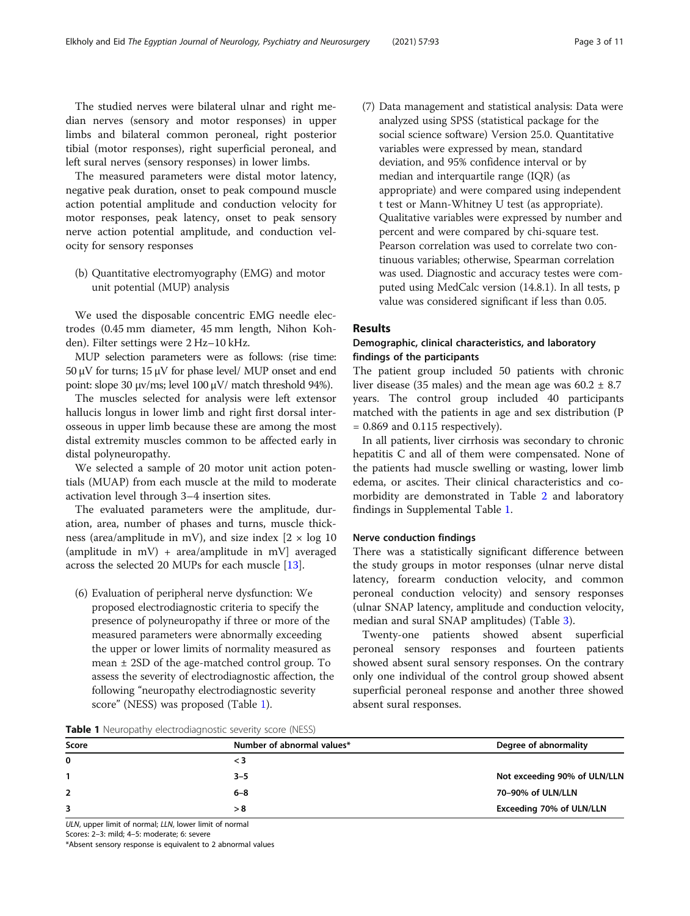The studied nerves were bilateral ulnar and right median nerves (sensory and motor responses) in upper limbs and bilateral common peroneal, right posterior tibial (motor responses), right superficial peroneal, and left sural nerves (sensory responses) in lower limbs.

The measured parameters were distal motor latency, negative peak duration, onset to peak compound muscle action potential amplitude and conduction velocity for motor responses, peak latency, onset to peak sensory nerve action potential amplitude, and conduction velocity for sensory responses

(b) Quantitative electromyography (EMG) and motor unit potential (MUP) analysis

We used the disposable concentric EMG needle electrodes (0.45 mm diameter, 45 mm length, Nihon Kohden). Filter settings were 2 Hz–10 kHz.

MUP selection parameters were as follows: (rise time: 50 μV for turns; 15 μV for phase level/ MUP onset and end point: slope 30 μv/ms; level 100 μV/ match threshold 94%).

The muscles selected for analysis were left extensor hallucis longus in lower limb and right first dorsal interosseous in upper limb because these are among the most distal extremity muscles common to be affected early in distal polyneuropathy.

We selected a sample of 20 motor unit action potentials (MUAP) from each muscle at the mild to moderate activation level through 3–4 insertion sites.

The evaluated parameters were the amplitude, duration, area, number of phases and turns, muscle thickness (area/amplitude in mV), and size index  $[2 \times \log 10$ (amplitude in mV) + area/amplitude in mV] averaged across the selected 20 MUPs for each muscle [[13\]](#page-9-0).

(6) Evaluation of peripheral nerve dysfunction: We proposed electrodiagnostic criteria to specify the presence of polyneuropathy if three or more of the measured parameters were abnormally exceeding the upper or lower limits of normality measured as mean  $\pm$  2SD of the age-matched control group. To assess the severity of electrodiagnostic affection, the following "neuropathy electrodiagnostic severity score" (NESS) was proposed (Table 1).

(7) Data management and statistical analysis: Data were analyzed using SPSS (statistical package for the social science software) Version 25.0. Quantitative variables were expressed by mean, standard deviation, and 95% confidence interval or by median and interquartile range (IQR) (as appropriate) and were compared using independent t test or Mann-Whitney U test (as appropriate). Qualitative variables were expressed by number and percent and were compared by chi-square test. Pearson correlation was used to correlate two continuous variables; otherwise, Spearman correlation was used. Diagnostic and accuracy testes were computed using MedCalc version (14.8.1). In all tests, p value was considered significant if less than 0.05.

## Results

## Demographic, clinical characteristics, and laboratory findings of the participants

The patient group included 50 patients with chronic liver disease (35 males) and the mean age was  $60.2 \pm 8.7$ years. The control group included 40 participants matched with the patients in age and sex distribution (P  $= 0.869$  and 0.115 respectively).

In all patients, liver cirrhosis was secondary to chronic hepatitis C and all of them were compensated. None of the patients had muscle swelling or wasting, lower limb edema, or ascites. Their clinical characteristics and comorbidity are demonstrated in Table [2](#page-3-0) and laboratory findings in Supplemental Table [1.](#page-8-0)

## Nerve conduction findings

There was a statistically significant difference between the study groups in motor responses (ulnar nerve distal latency, forearm conduction velocity, and common peroneal conduction velocity) and sensory responses (ulnar SNAP latency, amplitude and conduction velocity, median and sural SNAP amplitudes) (Table [3](#page-4-0)).

Twenty-one patients showed absent superficial peroneal sensory responses and fourteen patients showed absent sural sensory responses. On the contrary only one individual of the control group showed absent superficial peroneal response and another three showed absent sural responses.

**Table 1** Neuropathy electrodiagnostic severity score (NESS)

| Score | Number of abnormal values* | Degree of abnormality        |
|-------|----------------------------|------------------------------|
| 0     |                            |                              |
|       | $3 - 5$                    | Not exceeding 90% of ULN/LLN |
| 2     | $6 - 8$                    | 70-90% of ULN/LLN            |
| 3     | > 8                        | Exceeding 70% of ULN/LLN     |

ULN, upper limit of normal; LLN, lower limit of normal

Scores: 2–3: mild; 4–5: moderate; 6: severe

\*Absent sensory response is equivalent to 2 abnormal values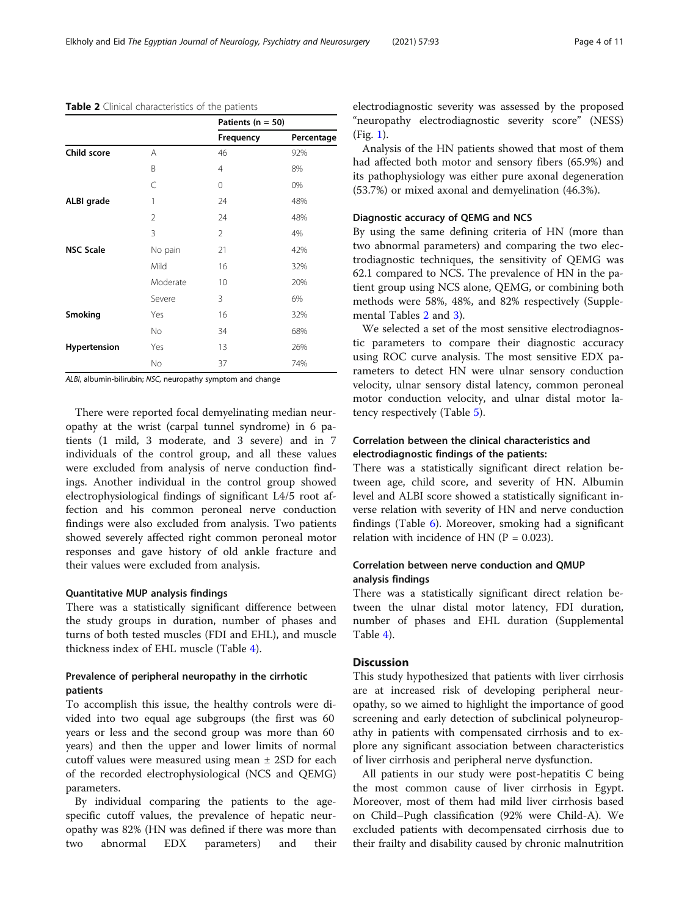|                  |          | Patients (n = 50) |            |
|------------------|----------|-------------------|------------|
|                  |          | Frequency         | Percentage |
| Child score      | A        | 46                | 92%        |
|                  | B        | 4                 | 8%         |
|                  | C        | 0                 | 0%         |
| ALBI grade       | 1        | 24                | 48%        |
|                  | 2        | 24                | 48%        |
|                  | 3        | $\overline{2}$    | 4%         |
| <b>NSC Scale</b> | No pain  | 21                | 42%        |
|                  | Mild     | 16                | 32%        |
|                  | Moderate | 10                | 20%        |
|                  | Severe   | 3                 | 6%         |
| <b>Smoking</b>   | Yes      | 16                | 32%        |
|                  | No.      | 34                | 68%        |
| Hypertension     | Yes      | 13                | 26%        |
|                  | No       | 37                | 74%        |

<span id="page-3-0"></span>Table 2 Clinical characteristics of the patients

ALBI, albumin-bilirubin; NSC, neuropathy symptom and change

There were reported focal demyelinating median neuropathy at the wrist (carpal tunnel syndrome) in 6 patients (1 mild, 3 moderate, and 3 severe) and in 7 individuals of the control group, and all these values were excluded from analysis of nerve conduction findings. Another individual in the control group showed electrophysiological findings of significant L4/5 root affection and his common peroneal nerve conduction findings were also excluded from analysis. Two patients showed severely affected right common peroneal motor responses and gave history of old ankle fracture and their values were excluded from analysis.

## Quantitative MUP analysis findings

There was a statistically significant difference between the study groups in duration, number of phases and turns of both tested muscles (FDI and EHL), and muscle thickness index of EHL muscle (Table [4\)](#page-5-0).

## Prevalence of peripheral neuropathy in the cirrhotic patients

To accomplish this issue, the healthy controls were divided into two equal age subgroups (the first was 60 years or less and the second group was more than 60 years) and then the upper and lower limits of normal cutoff values were measured using mean  $\pm$  2SD for each of the recorded electrophysiological (NCS and QEMG) parameters.

By individual comparing the patients to the agespecific cutoff values, the prevalence of hepatic neuropathy was 82% (HN was defined if there was more than two abnormal EDX parameters) and their electrodiagnostic severity was assessed by the proposed "neuropathy electrodiagnostic severity score" (NESS) (Fig. [1](#page-5-0)).

Analysis of the HN patients showed that most of them had affected both motor and sensory fibers (65.9%) and its pathophysiology was either pure axonal degeneration (53.7%) or mixed axonal and demyelination (46.3%).

## Diagnostic accuracy of QEMG and NCS

By using the same defining criteria of HN (more than two abnormal parameters) and comparing the two electrodiagnostic techniques, the sensitivity of QEMG was 62.1 compared to NCS. The prevalence of HN in the patient group using NCS alone, QEMG, or combining both methods were 58%, 48%, and 82% respectively (Supplemental Tables [2](#page-8-0) and [3](#page-8-0)).

We selected a set of the most sensitive electrodiagnostic parameters to compare their diagnostic accuracy using ROC curve analysis. The most sensitive EDX parameters to detect HN were ulnar sensory conduction velocity, ulnar sensory distal latency, common peroneal motor conduction velocity, and ulnar distal motor latency respectively (Table [5\)](#page-6-0).

## Correlation between the clinical characteristics and electrodiagnostic findings of the patients:

There was a statistically significant direct relation between age, child score, and severity of HN. Albumin level and ALBI score showed a statistically significant inverse relation with severity of HN and nerve conduction findings (Table [6](#page-7-0)). Moreover, smoking had a significant relation with incidence of HN ( $P = 0.023$ ).

## Correlation between nerve conduction and QMUP analysis findings

There was a statistically significant direct relation between the ulnar distal motor latency, FDI duration, number of phases and EHL duration (Supplemental Table [4\)](#page-8-0).

## **Discussion**

This study hypothesized that patients with liver cirrhosis are at increased risk of developing peripheral neuropathy, so we aimed to highlight the importance of good screening and early detection of subclinical polyneuropathy in patients with compensated cirrhosis and to explore any significant association between characteristics of liver cirrhosis and peripheral nerve dysfunction.

All patients in our study were post-hepatitis C being the most common cause of liver cirrhosis in Egypt. Moreover, most of them had mild liver cirrhosis based on Child–Pugh classification (92% were Child-A). We excluded patients with decompensated cirrhosis due to their frailty and disability caused by chronic malnutrition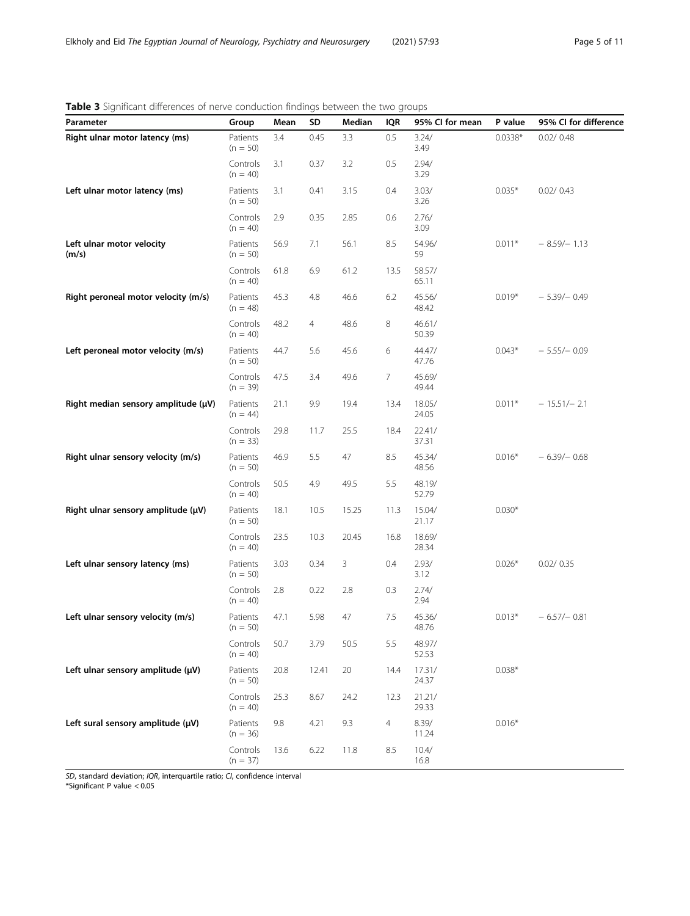## <span id="page-4-0"></span>Table 3 Significant differences of nerve conduction findings between the two groups

| $\bullet$ biginneame annonches on $\cdot$<br>Parameter | condector<br>Group     | Mean | SD             | gs secreen are and groups.<br>Median | IQR  | 95% CI for mean | P value   | 95% CI for difference |
|--------------------------------------------------------|------------------------|------|----------------|--------------------------------------|------|-----------------|-----------|-----------------------|
| Right ulnar motor latency (ms)                         | Patients<br>$(n = 50)$ | 3.4  | 0.45           | 3.3                                  | 0.5  | 3.24/<br>3.49   | $0.0338*$ | 0.02/0.48             |
|                                                        | Controls<br>$(n = 40)$ | 3.1  | 0.37           | 3.2                                  | 0.5  | 2.94/<br>3.29   |           |                       |
| Left ulnar motor latency (ms)                          | Patients<br>$(n = 50)$ | 3.1  | 0.41           | 3.15                                 | 0.4  | 3.03/<br>3.26   | $0.035*$  | 0.02/0.43             |
|                                                        | Controls<br>$(n = 40)$ | 2.9  | 0.35           | 2.85                                 | 0.6  | 2.76/<br>3.09   |           |                       |
| Left ulnar motor velocity<br>(m/s)                     | Patients<br>$(n = 50)$ | 56.9 | 7.1            | 56.1                                 | 8.5  | 54.96/<br>59    | $0.011*$  | $-8.59/- 1.13$        |
|                                                        | Controls<br>$(n = 40)$ | 61.8 | 6.9            | 61.2                                 | 13.5 | 58.57/<br>65.11 |           |                       |
| Right peroneal motor velocity (m/s)                    | Patients<br>$(n = 48)$ | 45.3 | 4.8            | 46.6                                 | 6.2  | 45.56/<br>48.42 | $0.019*$  | $-5.39/- 0.49$        |
|                                                        | Controls<br>$(n = 40)$ | 48.2 | $\overline{4}$ | 48.6                                 | 8    | 46.61/<br>50.39 |           |                       |
| Left peroneal motor velocity (m/s)                     | Patients<br>$(n = 50)$ | 44.7 | 5.6            | 45.6                                 | 6    | 44.47/<br>47.76 | $0.043*$  | $-5.55/- 0.09$        |
|                                                        | Controls<br>$(n = 39)$ | 47.5 | 3.4            | 49.6                                 | 7    | 45.69/<br>49.44 |           |                       |
| Right median sensory amplitude (µV)                    | Patients<br>$(n = 44)$ | 21.1 | 9.9            | 19.4                                 | 13.4 | 18.05/<br>24.05 | $0.011*$  | $-15.51/- 2.1$        |
|                                                        | Controls<br>$(n = 33)$ | 29.8 | 11.7           | 25.5                                 | 18.4 | 22.41/<br>37.31 |           |                       |
| Right ulnar sensory velocity (m/s)                     | Patients<br>$(n = 50)$ | 46.9 | 5.5            | 47                                   | 8.5  | 45.34/<br>48.56 | $0.016*$  | $-6.39/- 0.68$        |
|                                                        | Controls<br>$(n = 40)$ | 50.5 | 4.9            | 49.5                                 | 5.5  | 48.19/<br>52.79 |           |                       |
| Right ulnar sensory amplitude (µV)                     | Patients<br>$(n = 50)$ | 18.1 | 10.5           | 15.25                                | 11.3 | 15.04/<br>21.17 | $0.030*$  |                       |
|                                                        | Controls<br>$(n = 40)$ | 23.5 | 10.3           | 20.45                                | 16.8 | 18.69/<br>28.34 |           |                       |
| Left ulnar sensory latency (ms)                        | Patients<br>$(n = 50)$ | 3.03 | 0.34           | 3                                    | 0.4  | 2.93/<br>3.12   | $0.026*$  | 0.02/0.35             |
|                                                        | Controls<br>$(n = 40)$ | 2.8  | 0.22           | 2.8                                  | 0.3  | 2.74/<br>2.94   |           |                       |
| Left ulnar sensory velocity (m/s)                      | Patients<br>$(n = 50)$ | 47.1 | 5.98           | 47                                   | 7.5  | 45.36/<br>48.76 | $0.013*$  | $-6.57/- 0.81$        |
|                                                        | Controls<br>$(n = 40)$ | 50.7 | 3.79           | 50.5                                 | 5.5  | 48.97/<br>52.53 |           |                       |
| Left ulnar sensory amplitude (µV)                      | Patients<br>$(n = 50)$ | 20.8 | 12.41          | $20\,$                               | 14.4 | 17.31/<br>24.37 | $0.038*$  |                       |
|                                                        | Controls<br>$(n = 40)$ | 25.3 | 8.67           | 24.2                                 | 12.3 | 21.21/<br>29.33 |           |                       |
| Left sural sensory amplitude (µV)                      | Patients<br>$(n = 36)$ | 9.8  | 4.21           | 9.3                                  | 4    | 8.39/<br>11.24  | $0.016*$  |                       |
|                                                        | Controls<br>$(n = 37)$ | 13.6 | 6.22           | 11.8                                 | 8.5  | 10.4/<br>16.8   |           |                       |

SD, standard deviation; IQR, interquartile ratio; CI, confidence interval

\*Significant P value < 0.05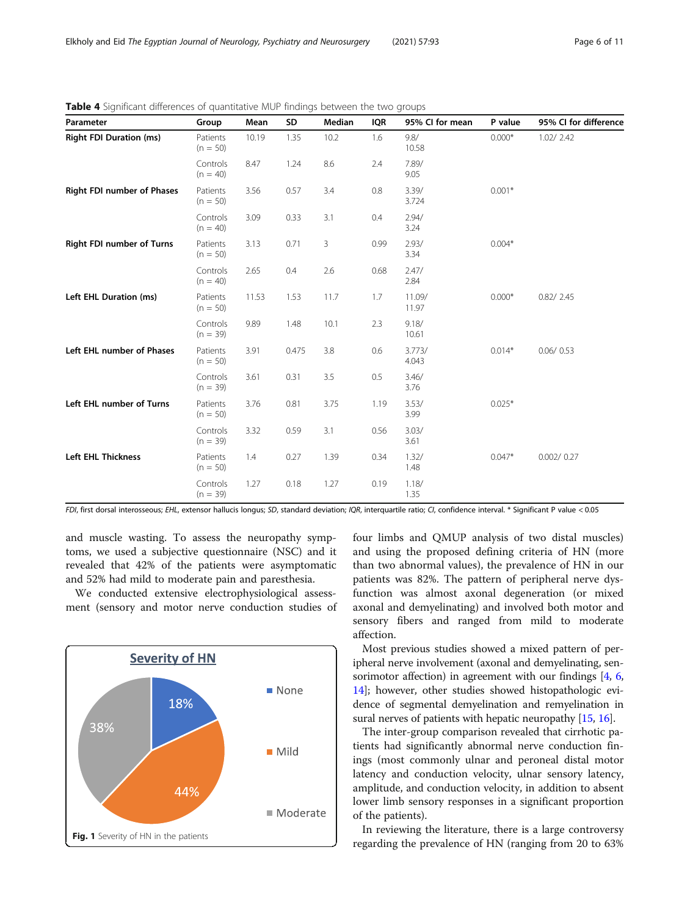| Parameter                         | Group                  | Mean  | SD    | Median | <b>IQR</b> | 95% CI for mean | P value  | 95% CI for difference |
|-----------------------------------|------------------------|-------|-------|--------|------------|-----------------|----------|-----------------------|
| <b>Right FDI Duration (ms)</b>    | Patients<br>$(n = 50)$ | 10.19 | 1.35  | 10.2   | 1.6        | 9.8/<br>10.58   | $0.000*$ | 1.02/2.42             |
|                                   | Controls<br>$(n = 40)$ | 8.47  | 1.24  | 8.6    | 2.4        | 7.89/<br>9.05   |          |                       |
| <b>Right FDI number of Phases</b> | Patients<br>$(n = 50)$ | 3.56  | 0.57  | 3.4    | 0.8        | 3.39/<br>3.724  | $0.001*$ |                       |
|                                   | Controls<br>$(n = 40)$ | 3.09  | 0.33  | 3.1    | 0.4        | 2.94/<br>3.24   |          |                       |
| <b>Right FDI number of Turns</b>  | Patients<br>$(n = 50)$ | 3.13  | 0.71  | 3      | 0.99       | 2.93/<br>3.34   | $0.004*$ |                       |
|                                   | Controls<br>$(n = 40)$ | 2.65  | 0.4   | 2.6    | 0.68       | 2.47/<br>2.84   |          |                       |
| Left EHL Duration (ms)            | Patients<br>$(n = 50)$ | 11.53 | 1.53  | 11.7   | 1.7        | 11.09/<br>11.97 | $0.000*$ | 0.82 / 2.45           |
|                                   | Controls<br>$(n = 39)$ | 9.89  | 1.48  | 10.1   | 2.3        | 9.18/<br>10.61  |          |                       |
| Left EHL number of Phases         | Patients<br>$(n = 50)$ | 3.91  | 0.475 | 3.8    | 0.6        | 3.773/<br>4.043 | $0.014*$ | 0.06/0.53             |
|                                   | Controls<br>$(n = 39)$ | 3.61  | 0.31  | 3.5    | 0.5        | 3.46/<br>3.76   |          |                       |
| Left EHL number of Turns          | Patients<br>$(n = 50)$ | 3.76  | 0.81  | 3.75   | 1.19       | 3.53/<br>3.99   | $0.025*$ |                       |
|                                   | Controls<br>$(n = 39)$ | 3.32  | 0.59  | 3.1    | 0.56       | 3.03/<br>3.61   |          |                       |
| <b>Left EHL Thickness</b>         | Patients<br>$(n = 50)$ | 1.4   | 0.27  | 1.39   | 0.34       | 1.32/<br>1.48   | $0.047*$ | 0.002/0.27            |
|                                   | Controls<br>$(n = 39)$ | 1.27  | 0.18  | 1.27   | 0.19       | 1.18/<br>1.35   |          |                       |

<span id="page-5-0"></span>**Table 4** Significant differences of quantitative MUP findings between the two groups

FDI, first dorsal interosseous; EHL, extensor hallucis longus; SD, standard deviation; IQR, interquartile ratio; CI, confidence interval. \* Significant P value < 0.05

and muscle wasting. To assess the neuropathy symptoms, we used a subjective questionnaire (NSC) and it revealed that 42% of the patients were asymptomatic and 52% had mild to moderate pain and paresthesia.

We conducted extensive electrophysiological assessment (sensory and motor nerve conduction studies of



four limbs and QMUP analysis of two distal muscles) and using the proposed defining criteria of HN (more than two abnormal values), the prevalence of HN in our patients was 82%. The pattern of peripheral nerve dysfunction was almost axonal degeneration (or mixed axonal and demyelinating) and involved both motor and sensory fibers and ranged from mild to moderate affection.

Most previous studies showed a mixed pattern of peripheral nerve involvement (axonal and demyelinating, sen-sorimotor affection) in agreement with our findings [\[4](#page-9-0), [6](#page-9-0), [14](#page-9-0)]; however, other studies showed histopathologic evidence of segmental demyelination and remyelination in sural nerves of patients with hepatic neuropathy [\[15,](#page-9-0) [16](#page-9-0)].

The inter-group comparison revealed that cirrhotic patients had significantly abnormal nerve conduction finings (most commonly ulnar and peroneal distal motor latency and conduction velocity, ulnar sensory latency, amplitude, and conduction velocity, in addition to absent lower limb sensory responses in a significant proportion of the patients).

In reviewing the literature, there is a large controversy regarding the prevalence of HN (ranging from 20 to 63%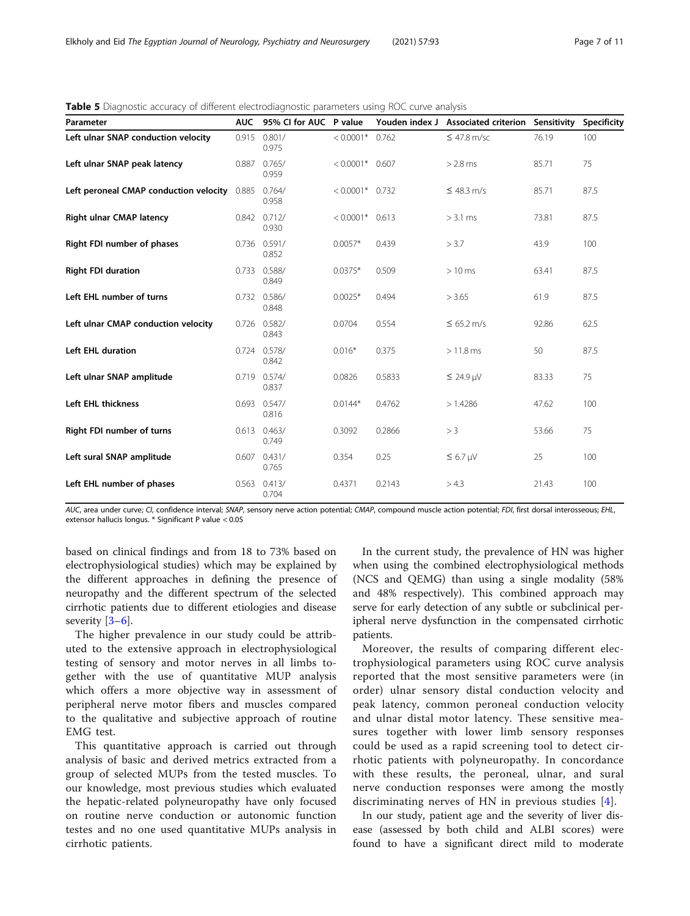<span id="page-6-0"></span>

|  | <b>Table 5</b> Diagnostic accuracy of different electrodiagnostic parameters using ROC curve analysis |
|--|-------------------------------------------------------------------------------------------------------|
|  |                                                                                                       |

| Parameter                              | <b>AUC</b> | 95% CI for AUC P value    |                   |        | Youden index J Associated criterion Sensitivity Specificity |       |      |
|----------------------------------------|------------|---------------------------|-------------------|--------|-------------------------------------------------------------|-------|------|
| Left ulnar SNAP conduction velocity    | 0.915      | 0.801/<br>0.975           | $< 0.0001*$ 0.762 |        | $\leq 47.8$ m/sc                                            | 76.19 | 100  |
| Left ulnar SNAP peak latency           | 0.887      | 0.765/<br>0.959           | $< 0.0001*$ 0.607 |        | $>$ 2.8 ms                                                  | 85.71 | 75   |
| Left peroneal CMAP conduction velocity | 0.885      | 0.764/<br>0.958           | $< 0.0001*$ 0.732 |        | $\leq 48.3$ m/s                                             | 85.71 | 87.5 |
| <b>Right ulnar CMAP latency</b>        | 0.842      | 0.712/<br>0.930           | $< 0.0001*$ 0.613 |        | $>$ 3.1 ms                                                  | 73.81 | 87.5 |
| Right FDI number of phases             |            | $0.736$ $0.591/$<br>0.852 | $0.0057*$         | 0.439  | > 3.7                                                       | 43.9  | 100  |
| <b>Right FDI duration</b>              | 0.733      | 0.588/<br>0.849           | $0.0375*$         | 0.509  | $>10$ ms                                                    | 63.41 | 87.5 |
| Left EHL number of turns               |            | $0.732$ $0.586/$<br>0.848 | $0.0025*$         | 0.494  | > 3.65                                                      | 61.9  | 87.5 |
| Left ulnar CMAP conduction velocity    | 0.726      | 0.582/<br>0.843           | 0.0704            | 0.554  | $\leq 65.2$ m/s                                             | 92.86 | 62.5 |
| <b>Left EHL duration</b>               |            | 0.724 0.578/<br>0.842     | $0.016*$          | 0.375  | $> 11.8$ ms                                                 | 50    | 87.5 |
| Left ulnar SNAP amplitude              |            | $0.719$ $0.574/$<br>0.837 | 0.0826            | 0.5833 | $\leq 24.9 \text{ mV}$                                      | 83.33 | 75   |
| Left EHL thickness                     | 0.693      | 0.547/<br>0.816           | $0.0144*$         | 0.4762 | >1.4286                                                     | 47.62 | 100  |
| Right FDI number of turns              |            | $0.613$ $0.463/$<br>0.749 | 0.3092            | 0.2866 | > 3                                                         | 53.66 | 75   |
| Left sural SNAP amplitude              | 0.607      | 0.431/<br>0.765           | 0.354             | 0.25   | $\leq 6.7 \mu V$                                            | 25    | 100  |
| Left EHL number of phases              | 0.563      | 0.413/<br>0.704           | 0.4371            | 0.2143 | > 4.3                                                       | 21.43 | 100  |

AUC, area under curve; CI, confidence interval; SNAP, sensory nerve action potential; CMAP, compound muscle action potential; FDI, first dorsal interosseous; EHL, extensor hallucis longus. \* Significant P value < 0.05

based on clinical findings and from 18 to 73% based on electrophysiological studies) which may be explained by the different approaches in defining the presence of neuropathy and the different spectrum of the selected cirrhotic patients due to different etiologies and disease severity [[3](#page-9-0)–[6](#page-9-0)].

The higher prevalence in our study could be attributed to the extensive approach in electrophysiological testing of sensory and motor nerves in all limbs together with the use of quantitative MUP analysis which offers a more objective way in assessment of peripheral nerve motor fibers and muscles compared to the qualitative and subjective approach of routine EMG test.

This quantitative approach is carried out through analysis of basic and derived metrics extracted from a group of selected MUPs from the tested muscles. To our knowledge, most previous studies which evaluated the hepatic-related polyneuropathy have only focused on routine nerve conduction or autonomic function testes and no one used quantitative MUPs analysis in cirrhotic patients.

In the current study, the prevalence of HN was higher when using the combined electrophysiological methods (NCS and QEMG) than using a single modality (58% and 48% respectively). This combined approach may serve for early detection of any subtle or subclinical peripheral nerve dysfunction in the compensated cirrhotic patients.

Moreover, the results of comparing different electrophysiological parameters using ROC curve analysis reported that the most sensitive parameters were (in order) ulnar sensory distal conduction velocity and peak latency, common peroneal conduction velocity and ulnar distal motor latency. These sensitive measures together with lower limb sensory responses could be used as a rapid screening tool to detect cirrhotic patients with polyneuropathy. In concordance with these results, the peroneal, ulnar, and sural nerve conduction responses were among the mostly discriminating nerves of HN in previous studies [[4\]](#page-9-0).

In our study, patient age and the severity of liver disease (assessed by both child and ALBI scores) were found to have a significant direct mild to moderate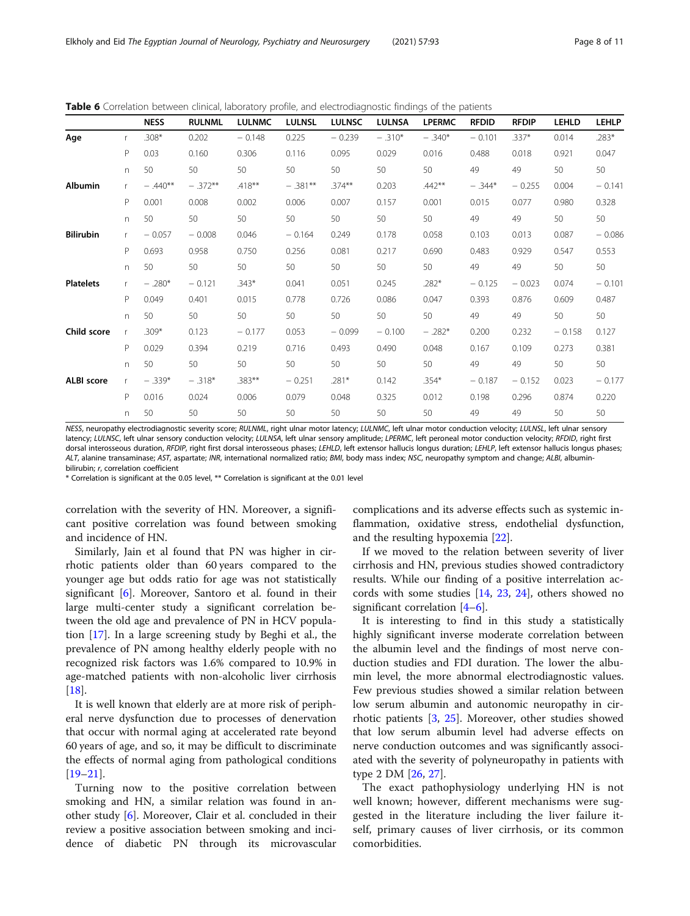<span id="page-7-0"></span>

|                   |              | <b>NESS</b> | <b>RULNML</b> | <b>LULNMC</b> | <b>LULNSL</b> | <b>LULNSC</b> | <b>LULNSA</b> | <b>LPERMC</b> | <b>RFDID</b> | <b>RFDIP</b> | <b>LEHLD</b> | <b>LEHLP</b> |
|-------------------|--------------|-------------|---------------|---------------|---------------|---------------|---------------|---------------|--------------|--------------|--------------|--------------|
| Age               | r            | $.308*$     | 0.202         | $-0.148$      | 0.225         | $-0.239$      | $-.310*$      | $-.340*$      | $-0.101$     | $.337*$      | 0.014        | $.283*$      |
|                   | P            | 0.03        | 0.160         | 0.306         | 0.116         | 0.095         | 0.029         | 0.016         | 0.488        | 0.018        | 0.921        | 0.047        |
|                   | n.           | 50          | 50            | 50            | 50            | 50            | 50            | 50            | 49           | 49           | 50           | 50           |
| Albumin           | $\mathsf{r}$ | $-.440**$   | $-.372**$     | .418**        | $-.381***$    | $.374***$     | 0.203         | $.442**$      | $-.344*$     | $-0.255$     | 0.004        | $-0.141$     |
|                   | P            | 0.001       | 0.008         | 0.002         | 0.006         | 0.007         | 0.157         | 0.001         | 0.015        | 0.077        | 0.980        | 0.328        |
|                   | n            | 50          | 50            | 50            | 50            | 50            | 50            | 50            | 49           | 49           | 50           | 50           |
| <b>Bilirubin</b>  | $\mathsf{r}$ | $-0.057$    | $-0.008$      | 0.046         | $-0.164$      | 0.249         | 0.178         | 0.058         | 0.103        | 0.013        | 0.087        | $-0.086$     |
|                   | P            | 0.693       | 0.958         | 0.750         | 0.256         | 0.081         | 0.217         | 0.690         | 0.483        | 0.929        | 0.547        | 0.553        |
|                   | n.           | 50          | 50            | 50            | 50            | 50            | 50            | 50            | 49           | 49           | 50           | 50           |
| <b>Platelets</b>  | $\mathsf{r}$ | $-.280*$    | $-0.121$      | $.343*$       | 0.041         | 0.051         | 0.245         | $.282*$       | $-0.125$     | $-0.023$     | 0.074        | $-0.101$     |
|                   | P            | 0.049       | 0.401         | 0.015         | 0.778         | 0.726         | 0.086         | 0.047         | 0.393        | 0.876        | 0.609        | 0.487        |
|                   | $\Gamma$     | 50          | 50            | 50            | 50            | 50            | 50            | 50            | 49           | 49           | 50           | 50           |
| Child score       | $\mathsf{r}$ | $.309*$     | 0.123         | $-0.177$      | 0.053         | $-0.099$      | $-0.100$      | $-.282*$      | 0.200        | 0.232        | $-0.158$     | 0.127        |
|                   | P            | 0.029       | 0.394         | 0.219         | 0.716         | 0.493         | 0.490         | 0.048         | 0.167        | 0.109        | 0.273        | 0.381        |
|                   | n            | 50          | 50            | 50            | 50            | 50            | 50            | 50            | 49           | 49           | 50           | 50           |
| <b>ALBI</b> score | $\mathsf{r}$ | $-.339*$    | $-.318*$      | $.383**$      | $-0.251$      | $.281*$       | 0.142         | $.354*$       | $-0.187$     | $-0.152$     | 0.023        | $-0.177$     |
|                   | P            | 0.016       | 0.024         | 0.006         | 0.079         | 0.048         | 0.325         | 0.012         | 0.198        | 0.296        | 0.874        | 0.220        |
|                   | $\mathsf{n}$ | 50          | 50            | 50            | 50            | 50            | 50            | 50            | 49           | 49           | 50           | 50           |

NESS, neuropathy electrodiagnostic severity score; RULNML, right ulnar motor latency; LULNMC, left ulnar motor conduction velocity; LULNSL, left ulnar sensory latency; LULNSC, left ulnar sensory conduction velocity; LULNSA, left ulnar sensory amplitude; LPERMC, left peroneal motor conduction velocity; RFDID, right first dorsal interosseous duration, RFDIP, right first dorsal interosseous phases; LEHLD, left extensor hallucis longus duration; LEHLP, left extensor hallucis longus phases; ALT, alanine transaminase; AST, aspartate; INR, international normalized ratio; BMI, body mass index; NSC, neuropathy symptom and change; ALBI, albuminbilirubin; r, correlation coefficient

\* Correlation is significant at the 0.05 level, \*\* Correlation is significant at the 0.01 level

correlation with the severity of HN. Moreover, a significant positive correlation was found between smoking and incidence of HN.

Similarly, Jain et al found that PN was higher in cirrhotic patients older than 60 years compared to the younger age but odds ratio for age was not statistically significant [\[6](#page-9-0)]. Moreover, Santoro et al. found in their large multi-center study a significant correlation between the old age and prevalence of PN in HCV population [[17\]](#page-9-0). In a large screening study by Beghi et al., the prevalence of PN among healthy elderly people with no recognized risk factors was 1.6% compared to 10.9% in age-matched patients with non-alcoholic liver cirrhosis [[18\]](#page-9-0).

It is well known that elderly are at more risk of peripheral nerve dysfunction due to processes of denervation that occur with normal aging at accelerated rate beyond 60 years of age, and so, it may be difficult to discriminate the effects of normal aging from pathological conditions  $[19-21]$  $[19-21]$  $[19-21]$  $[19-21]$  $[19-21]$ .

Turning now to the positive correlation between smoking and HN, a similar relation was found in another study [[6\]](#page-9-0). Moreover, Clair et al. concluded in their review a positive association between smoking and incidence of diabetic PN through its microvascular

complications and its adverse effects such as systemic inflammation, oxidative stress, endothelial dysfunction, and the resulting hypoxemia [[22](#page-9-0)].

If we moved to the relation between severity of liver cirrhosis and HN, previous studies showed contradictory results. While our finding of a positive interrelation accords with some studies [\[14](#page-9-0), [23,](#page-9-0) [24\]](#page-9-0), others showed no significant correlation [\[4](#page-9-0)–[6\]](#page-9-0).

It is interesting to find in this study a statistically highly significant inverse moderate correlation between the albumin level and the findings of most nerve conduction studies and FDI duration. The lower the albumin level, the more abnormal electrodiagnostic values. Few previous studies showed a similar relation between low serum albumin and autonomic neuropathy in cirrhotic patients [[3,](#page-9-0) [25\]](#page-9-0). Moreover, other studies showed that low serum albumin level had adverse effects on nerve conduction outcomes and was significantly associated with the severity of polyneuropathy in patients with type 2 DM [\[26,](#page-9-0) [27\]](#page-9-0).

The exact pathophysiology underlying HN is not well known; however, different mechanisms were suggested in the literature including the liver failure itself, primary causes of liver cirrhosis, or its common comorbidities.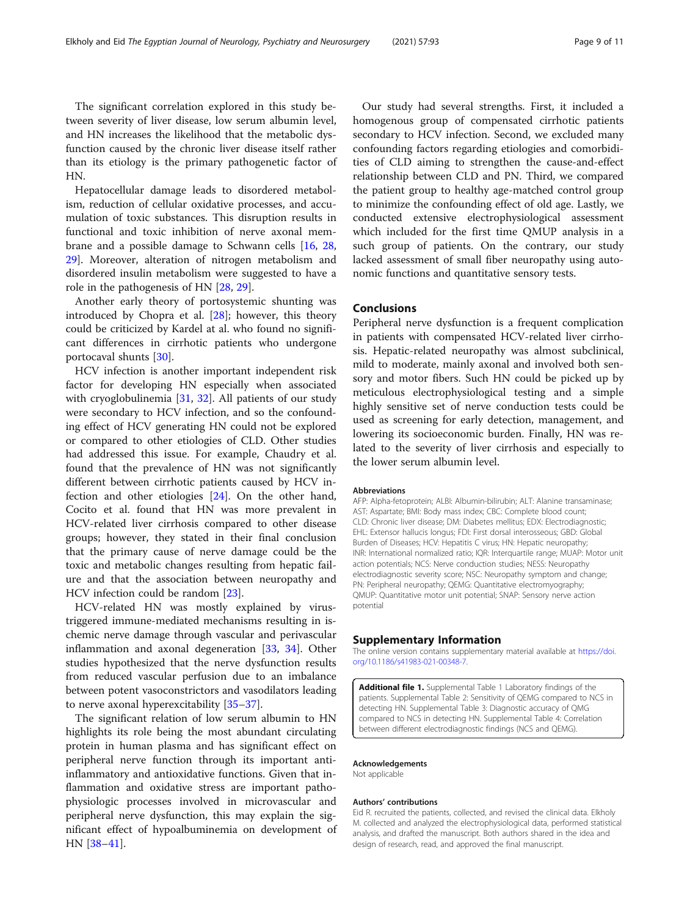<span id="page-8-0"></span>The significant correlation explored in this study between severity of liver disease, low serum albumin level, and HN increases the likelihood that the metabolic dysfunction caused by the chronic liver disease itself rather than its etiology is the primary pathogenetic factor of HN.

Hepatocellular damage leads to disordered metabolism, reduction of cellular oxidative processes, and accumulation of toxic substances. This disruption results in functional and toxic inhibition of nerve axonal membrane and a possible damage to Schwann cells [\[16](#page-9-0), [28](#page-9-0), [29\]](#page-9-0). Moreover, alteration of nitrogen metabolism and disordered insulin metabolism were suggested to have a role in the pathogenesis of HN [\[28](#page-9-0), [29](#page-9-0)].

Another early theory of portosystemic shunting was introduced by Chopra et al. [\[28\]](#page-9-0); however, this theory could be criticized by Kardel at al. who found no significant differences in cirrhotic patients who undergone portocaval shunts [\[30\]](#page-9-0).

HCV infection is another important independent risk factor for developing HN especially when associated with cryoglobulinemia [[31,](#page-9-0) [32](#page-10-0)]. All patients of our study were secondary to HCV infection, and so the confounding effect of HCV generating HN could not be explored or compared to other etiologies of CLD. Other studies had addressed this issue. For example, Chaudry et al. found that the prevalence of HN was not significantly different between cirrhotic patients caused by HCV infection and other etiologies [\[24\]](#page-9-0). On the other hand, Cocito et al. found that HN was more prevalent in HCV-related liver cirrhosis compared to other disease groups; however, they stated in their final conclusion that the primary cause of nerve damage could be the toxic and metabolic changes resulting from hepatic failure and that the association between neuropathy and HCV infection could be random [[23](#page-9-0)].

HCV-related HN was mostly explained by virustriggered immune-mediated mechanisms resulting in ischemic nerve damage through vascular and perivascular inflammation and axonal degeneration [\[33](#page-10-0), [34](#page-10-0)]. Other studies hypothesized that the nerve dysfunction results from reduced vascular perfusion due to an imbalance between potent vasoconstrictors and vasodilators leading to nerve axonal hyperexcitability [\[35](#page-10-0)–[37\]](#page-10-0).

The significant relation of low serum albumin to HN highlights its role being the most abundant circulating protein in human plasma and has significant effect on peripheral nerve function through its important antiinflammatory and antioxidative functions. Given that inflammation and oxidative stress are important pathophysiologic processes involved in microvascular and peripheral nerve dysfunction, this may explain the significant effect of hypoalbuminemia on development of HN [[38](#page-10-0)–[41](#page-10-0)].

Our study had several strengths. First, it included a homogenous group of compensated cirrhotic patients secondary to HCV infection. Second, we excluded many confounding factors regarding etiologies and comorbidities of CLD aiming to strengthen the cause-and-effect relationship between CLD and PN. Third, we compared the patient group to healthy age-matched control group to minimize the confounding effect of old age. Lastly, we conducted extensive electrophysiological assessment which included for the first time QMUP analysis in a such group of patients. On the contrary, our study lacked assessment of small fiber neuropathy using autonomic functions and quantitative sensory tests.

## Conclusions

Peripheral nerve dysfunction is a frequent complication in patients with compensated HCV-related liver cirrhosis. Hepatic-related neuropathy was almost subclinical, mild to moderate, mainly axonal and involved both sensory and motor fibers. Such HN could be picked up by meticulous electrophysiological testing and a simple highly sensitive set of nerve conduction tests could be used as screening for early detection, management, and lowering its socioeconomic burden. Finally, HN was related to the severity of liver cirrhosis and especially to the lower serum albumin level.

#### Abbreviations

AFP: Alpha-fetoprotein; ALBI: Albumin-bilirubin; ALT: Alanine transaminase; AST: Aspartate; BMI: Body mass index; CBC: Complete blood count; CLD: Chronic liver disease; DM: Diabetes mellitus; EDX: Electrodiagnostic; EHL: Extensor hallucis longus; FDI: First dorsal interosseous; GBD: Global Burden of Diseases; HCV: Hepatitis C virus; HN: Hepatic neuropathy; INR: International normalized ratio; IQR: Interquartile range; MUAP: Motor unit action potentials; NCS: Nerve conduction studies; NESS: Neuropathy electrodiagnostic severity score; NSC: Neuropathy symptom and change; PN: Peripheral neuropathy; QEMG: Quantitative electromyography; QMUP: Quantitative motor unit potential; SNAP: Sensory nerve action potential

#### Supplementary Information

The online version contains supplementary material available at [https://doi.](https://doi.org/10.1186/s41983-021-00348-7) [org/10.1186/s41983-021-00348-7.](https://doi.org/10.1186/s41983-021-00348-7)

Additional file 1. Supplemental Table 1 Laboratory findings of the patients. Supplemental Table 2: Sensitivity of QEMG compared to NCS in detecting HN. Supplemental Table 3: Diagnostic accuracy of QMG compared to NCS in detecting HN. Supplemental Table 4: Correlation between different electrodiagnostic findings (NCS and QEMG).

#### Acknowledgements

Not applicable

#### Authors' contributions

Eid R. recruited the patients, collected, and revised the clinical data. Elkholy M. collected and analyzed the electrophysiological data, performed statistical analysis, and drafted the manuscript. Both authors shared in the idea and design of research, read, and approved the final manuscript.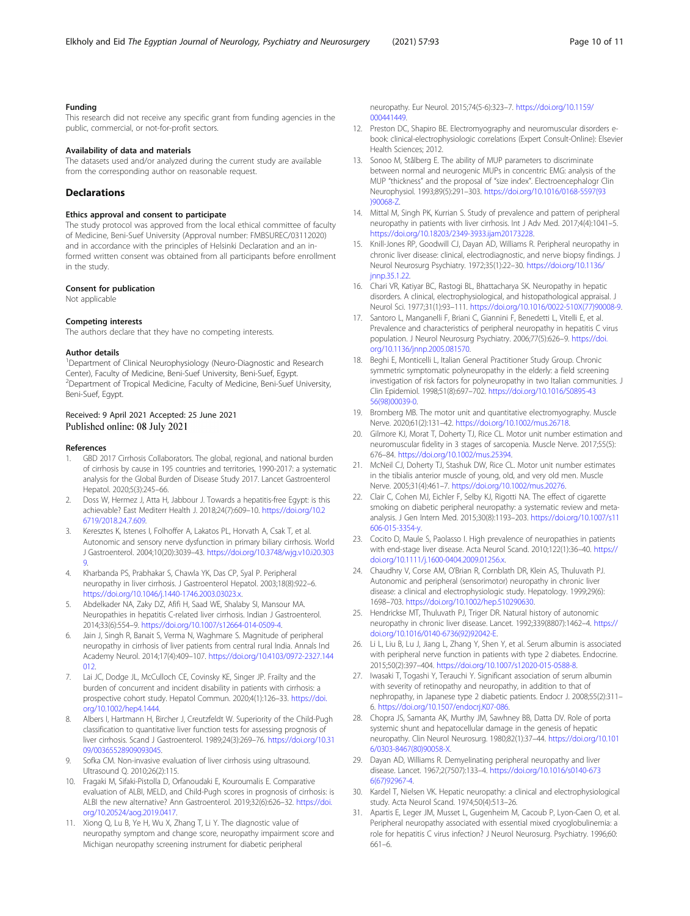#### <span id="page-9-0"></span>Funding

This research did not receive any specific grant from funding agencies in the public, commercial, or not-for-profit sectors.

## Availability of data and materials

The datasets used and/or analyzed during the current study are available from the corresponding author on reasonable request.

## **Declarations**

## Ethics approval and consent to participate

The study protocol was approved from the local ethical committee of faculty of Medicine, Beni-Suef University (Approval number: FMBSUREC/03112020) and in accordance with the principles of Helsinki Declaration and an informed written consent was obtained from all participants before enrollment in the study.

#### Consent for publication

Not applicable

#### Competing interests

The authors declare that they have no competing interests.

#### Author details

<sup>1</sup>Department of Clinical Neurophysiology (Neuro-Diagnostic and Research Center), Faculty of Medicine, Beni-Suef University, Beni-Suef, Egypt. <sup>2</sup> Department of Tropical Medicine, Faculty of Medicine, Beni-Suef University, Beni-Suef, Egypt.

## Received: 9 April 2021 Accepted: 25 June 2021 Published online: 08 July 2021

#### References

- 1. GBD 2017 Cirrhosis Collaborators. The global, regional, and national burden of cirrhosis by cause in 195 countries and territories, 1990-2017: a systematic analysis for the Global Burden of Disease Study 2017. Lancet Gastroenterol Hepatol. 2020;5(3):245–66.
- 2. Doss W, Hermez J, Atta H, Jabbour J. Towards a hepatitis-free Egypt: is this achievable? East Mediterr Health J. 2018;24(7):609–10. [https://doi.org/10.2](https://doi.org/10.26719/2018.24.7.609) [6719/2018.24.7.609](https://doi.org/10.26719/2018.24.7.609).
- Keresztes K, Istenes I, Folhoffer A, Lakatos PL, Horvath A, Csak T, et al. Autonomic and sensory nerve dysfunction in primary biliary cirrhosis. World J Gastroenterol. 2004;10(20):3039–43. [https://doi.org/10.3748/wjg.v10.i20.303](https://doi.org/10.3748/wjg.v10.i20.3039) [9](https://doi.org/10.3748/wjg.v10.i20.3039).
- 4. Kharbanda PS, Prabhakar S, Chawla YK, Das CP, Syal P. Peripheral neuropathy in liver cirrhosis. J Gastroenterol Hepatol. 2003;18(8):922–6. <https://doi.org/10.1046/j.1440-1746.2003.03023.x>.
- 5. Abdelkader NA, Zaky DZ, Afifi H, Saad WE, Shalaby SI, Mansour MA. Neuropathies in hepatitis C-related liver cirrhosis. Indian J Gastroenterol. 2014;33(6):554–9. [https://doi.org/10.1007/s12664-014-0509-4.](https://doi.org/10.1007/s12664-014-0509-4)
- 6. Jain J, Singh R, Banait S, Verma N, Waghmare S. Magnitude of peripheral neuropathy in cirrhosis of liver patients from central rural India. Annals Ind Academy Neurol. 2014;17(4):409–107. [https://doi.org/10.4103/0972-2327.144](https://doi.org/10.4103/0972-2327.144012) [012.](https://doi.org/10.4103/0972-2327.144012)
- 7. Lai JC, Dodge JL, McCulloch CE, Covinsky KE, Singer JP. Frailty and the burden of concurrent and incident disability in patients with cirrhosis: a prospective cohort study. Hepatol Commun. 2020;4(1):126–33. [https://doi.](https://doi.org/10.1002/hep4.1444) [org/10.1002/hep4.1444](https://doi.org/10.1002/hep4.1444).
- Albers I, Hartmann H, Bircher J, Creutzfeldt W. Superiority of the Child-Pugh classification to quantitative liver function tests for assessing prognosis of liver cirrhosis. Scand J Gastroenterol. 1989;24(3):269–76. [https://doi.org/10.31](https://doi.org/10.3109/00365528909093045) [09/00365528909093045.](https://doi.org/10.3109/00365528909093045)
- 9. Sofka CM. Non-invasive evaluation of liver cirrhosis using ultrasound. Ultrasound Q. 2010;26(2):115.
- 10. Fragaki M, Sifaki-Pistolla D, Orfanoudaki E, Kouroumalis E. Comparative evaluation of ALBI, MELD, and Child-Pugh scores in prognosis of cirrhosis: is ALBI the new alternative? Ann Gastroenterol. 2019;32(6):626–32. [https://doi.](https://doi.org/10.20524/aog.2019.0417) [org/10.20524/aog.2019.0417.](https://doi.org/10.20524/aog.2019.0417)
- 11. Xiong Q, Lu B, Ye H, Wu X, Zhang T, Li Y. The diagnostic value of neuropathy symptom and change score, neuropathy impairment score and Michigan neuropathy screening instrument for diabetic peripheral

neuropathy. Eur Neurol. 2015;74(5-6):323–7. [https://doi.org/10.1159/](https://doi.org/10.1159/000441449) [000441449](https://doi.org/10.1159/000441449).

- 12. Preston DC, Shapiro BE. Electromyography and neuromuscular disorders ebook: clinical-electrophysiologic correlations (Expert Consult-Online): Elsevier Health Sciences; 2012.
- 13. Sonoo M, Stålberg E. The ability of MUP parameters to discriminate between normal and neurogenic MUPs in concentric EMG: analysis of the MUP "thickness" and the proposal of "size index". Electroencephalogr Clin Neurophysiol. 1993;89(5):291–303. [https://doi.org/10.1016/0168-5597\(93](https://doi.org/10.1016/0168-5597(93)90068-Z) [\)90068-Z.](https://doi.org/10.1016/0168-5597(93)90068-Z)
- 14. Mittal M, Singh PK, Kurrian S. Study of prevalence and pattern of peripheral neuropathy in patients with liver cirrhosis. Int J Adv Med. 2017;4(4):1041–5. <https://doi.org/10.18203/2349-3933.ijam20173228>.
- 15. Knill-Jones RP, Goodwill CJ, Dayan AD, Williams R. Peripheral neuropathy in chronic liver disease: clinical, electrodiagnostic, and nerve biopsy findings. J Neurol Neurosurg Psychiatry. 1972;35(1):22–30. [https://doi.org/10.1136/](https://doi.org/10.1136/jnnp.35.1.22) [jnnp.35.1.22](https://doi.org/10.1136/jnnp.35.1.22).
- 16. Chari VR, Katiyar BC, Rastogi BL, Bhattacharya SK. Neuropathy in hepatic disorders. A clinical, electrophysiological, and histopathological appraisal. J Neurol Sci. 1977;31(1):93–111. [https://doi.org/10.1016/0022-510X\(77\)90008-9](https://doi.org/10.1016/0022-510X(77)90008-9).
- 17. Santoro L, Manganelli F, Briani C, Giannini F, Benedetti L, Vitelli E, et al. Prevalence and characteristics of peripheral neuropathy in hepatitis C virus population. J Neurol Neurosurg Psychiatry. 2006;77(5):626–9. [https://doi.](https://doi.org/10.1136/jnnp.2005.081570) [org/10.1136/jnnp.2005.081570](https://doi.org/10.1136/jnnp.2005.081570).
- 18. Beghi E, Monticelli L, Italian General Practitioner Study Group. Chronic symmetric symptomatic polyneuropathy in the elderly: a field screening investigation of risk factors for polyneuropathy in two Italian communities. J Clin Epidemiol. 1998;51(8):697–702. [https://doi.org/10.1016/S0895-43](https://doi.org/10.1016/S0895-4356(98)00039-0) [56\(98\)00039-0.](https://doi.org/10.1016/S0895-4356(98)00039-0)
- 19. Bromberg MB. The motor unit and quantitative electromyography. Muscle Nerve. 2020;61(2):131–42. <https://doi.org/10.1002/mus.26718>.
- 20. Gilmore KJ, Morat T, Doherty TJ, Rice CL. Motor unit number estimation and neuromuscular fidelity in 3 stages of sarcopenia. Muscle Nerve. 2017;55(5): 676–84. <https://doi.org/10.1002/mus.25394>.
- 21. McNeil CJ, Doherty TJ, Stashuk DW, Rice CL. Motor unit number estimates in the tibialis anterior muscle of young, old, and very old men. Muscle Nerve. 2005;31(4):461–7. [https://doi.org/10.1002/mus.20276.](https://doi.org/10.1002/mus.20276)
- 22. Clair C, Cohen MJ, Eichler F, Selby KJ, Rigotti NA. The effect of cigarette smoking on diabetic peripheral neuropathy: a systematic review and metaanalysis. J Gen Intern Med. 2015;30(8):1193–203. [https://doi.org/10.1007/s11](https://doi.org/10.1007/s11606-015-3354-y) [606-015-3354-y](https://doi.org/10.1007/s11606-015-3354-y).
- 23. Cocito D, Maule S, Paolasso I. High prevalence of neuropathies in patients with end-stage liver disease. Acta Neurol Scand. 2010;122(1):36–40. [https://](https://doi.org/10.1111/j.1600-0404.2009.01256.x) [doi.org/10.1111/j.1600-0404.2009.01256.x.](https://doi.org/10.1111/j.1600-0404.2009.01256.x)
- 24. Chaudhry V, Corse AM, O'Brian R, Cornblath DR, Klein AS, Thuluvath PJ. Autonomic and peripheral (sensorimotor) neuropathy in chronic liver disease: a clinical and electrophysiologic study. Hepatology. 1999;29(6): 1698–703. [https://doi.org/10.1002/hep.510290630.](https://doi.org/10.1002/hep.510290630)
- 25. Hendrickse MT, Thuluvath PJ, Triger DR. Natural history of autonomic neuropathy in chronic liver disease. Lancet. 1992;339(8807):1462–4. [https://](https://doi.org/10.1016/0140-6736(92)92042-E) [doi.org/10.1016/0140-6736\(92\)92042-E.](https://doi.org/10.1016/0140-6736(92)92042-E)
- 26. Li L, Liu B, Lu J, Jiang L, Zhang Y, Shen Y, et al. Serum albumin is associated with peripheral nerve function in patients with type 2 diabetes. Endocrine. 2015;50(2):397–404. <https://doi.org/10.1007/s12020-015-0588-8>.
- 27. Iwasaki T, Togashi Y, Terauchi Y. Significant association of serum albumin with severity of retinopathy and neuropathy, in addition to that of nephropathy, in Japanese type 2 diabetic patients. Endocr J. 2008;55(2):311– 6. <https://doi.org/10.1507/endocrj.K07-086>.
- 28. Chopra JS, Samanta AK, Murthy JM, Sawhney BB, Datta DV. Role of porta systemic shunt and hepatocellular damage in the genesis of hepatic neuropathy. Clin Neurol Neurosurg. 1980;82(1):37–44. [https://doi.org/10.101](https://doi.org/10.1016/0303-8467(80)90058-X) [6/0303-8467\(80\)90058-X.](https://doi.org/10.1016/0303-8467(80)90058-X)
- 29. Dayan AD, Williams R. Demyelinating peripheral neuropathy and liver disease. Lancet. 1967;2(7507):133–4. [https://doi.org/10.1016/s0140-673](https://doi.org/10.1016/s0140-6736(67)92967-4) [6\(67\)92967-4](https://doi.org/10.1016/s0140-6736(67)92967-4).
- 30. Kardel T, Nielsen VK. Hepatic neuropathy: a clinical and electrophysiological study. Acta Neurol Scand. 1974;50(4):513–26.
- 31. Apartis E, Leger JM, Musset L, Gugenheim M, Cacoub P, Lyon-Caen O, et al. Peripheral neuropathy associated with essential mixed cryoglobulinemia: a role for hepatitis C virus infection? J Neurol Neurosurg. Psychiatry. 1996;60: 661–6.